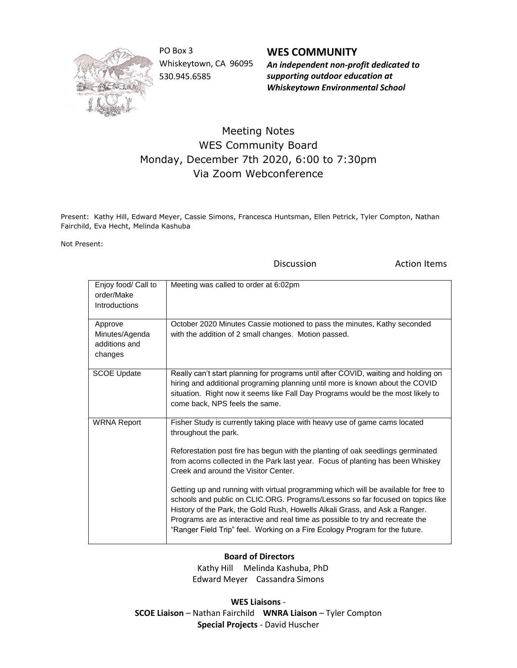

PO Box 3 Whiskeytown, CA 96095 530.945.6585

**WES COMMUNITY** *An independent non-profit dedicated to supporting outdoor education at Whiskeytown Environmental School*

## Meeting Notes WES Community Board Monday, December 7th 2020, 6:00 to 7:30pm Via Zoom Webconference

Present: Kathy Hill, Edward Meyer, Cassie Simons, Francesca Huntsman, Ellen Petrick, Tyler Compton, Nathan Fairchild, Eva Hecht, Melinda Kashuba

Not Present:

Discussion **Action Items** 

| Enjoy food/ Call to<br>order/Make<br>Introductions    | Meeting was called to order at 6:02pm                                                                                                                                                                                                                                                                                                                                                                                                                                                                                                                                                                                                                                                                                                    |
|-------------------------------------------------------|------------------------------------------------------------------------------------------------------------------------------------------------------------------------------------------------------------------------------------------------------------------------------------------------------------------------------------------------------------------------------------------------------------------------------------------------------------------------------------------------------------------------------------------------------------------------------------------------------------------------------------------------------------------------------------------------------------------------------------------|
| Approve<br>Minutes/Agenda<br>additions and<br>changes | October 2020 Minutes Cassie motioned to pass the minutes, Kathy seconded<br>with the addition of 2 small changes. Motion passed.                                                                                                                                                                                                                                                                                                                                                                                                                                                                                                                                                                                                         |
| <b>SCOE Update</b>                                    | Really can't start planning for programs until after COVID, waiting and holding on<br>hiring and additional programing planning until more is known about the COVID<br>situation. Right now it seems like Fall Day Programs would be the most likely to<br>come back, NPS feels the same.                                                                                                                                                                                                                                                                                                                                                                                                                                                |
| <b>WRNA Report</b>                                    | Fisher Study is currently taking place with heavy use of game cams located<br>throughout the park.<br>Reforestation post fire has begun with the planting of oak seedlings germinated<br>from acorns collected in the Park last year. Focus of planting has been Whiskey<br>Creek and around the Visitor Center.<br>Getting up and running with virtual programming which will be available for free to<br>schools and public on CLIC.ORG. Programs/Lessons so far focused on topics like<br>History of the Park, the Gold Rush, Howells Alkali Grass, and Ask a Ranger.<br>Programs are as interactive and real time as possible to try and recreate the<br>"Ranger Field Trip" feel. Working on a Fire Ecology Program for the future. |

## **Board of Directors**

 Kathy Hill Melinda Kashuba, PhD Edward Meyer Cassandra Simons

**WES Liaisons** - **SCOE Liaison** – Nathan Fairchild **WNRA Liaison** – Tyler Compton **Special Projects** - David Huscher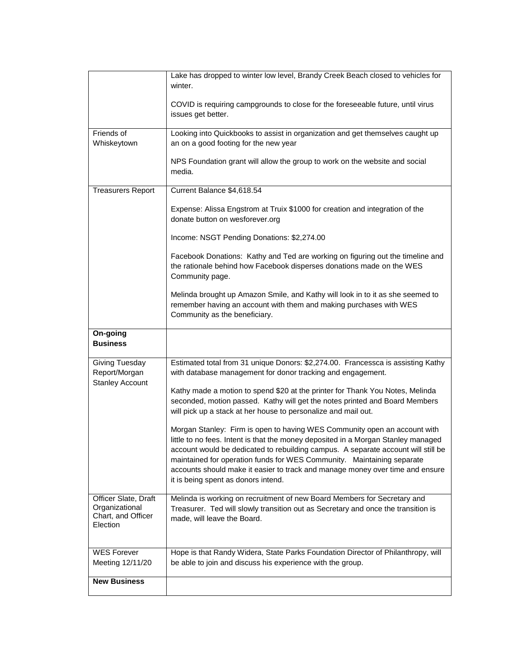|                                                                          | Lake has dropped to winter low level, Brandy Creek Beach closed to vehicles for<br>winter.                                                                                                                                                                                                                                                                                                                                                            |
|--------------------------------------------------------------------------|-------------------------------------------------------------------------------------------------------------------------------------------------------------------------------------------------------------------------------------------------------------------------------------------------------------------------------------------------------------------------------------------------------------------------------------------------------|
|                                                                          | COVID is requiring campgrounds to close for the foreseeable future, until virus<br>issues get better.                                                                                                                                                                                                                                                                                                                                                 |
| Friends of                                                               | Looking into Quickbooks to assist in organization and get themselves caught up                                                                                                                                                                                                                                                                                                                                                                        |
| Whiskeytown                                                              | an on a good footing for the new year                                                                                                                                                                                                                                                                                                                                                                                                                 |
|                                                                          | NPS Foundation grant will allow the group to work on the website and social<br>media.                                                                                                                                                                                                                                                                                                                                                                 |
| <b>Treasurers Report</b>                                                 | Current Balance \$4,618.54                                                                                                                                                                                                                                                                                                                                                                                                                            |
|                                                                          | Expense: Alissa Engstrom at Truix \$1000 for creation and integration of the<br>donate button on wesforever.org                                                                                                                                                                                                                                                                                                                                       |
|                                                                          | Income: NSGT Pending Donations: \$2,274.00                                                                                                                                                                                                                                                                                                                                                                                                            |
|                                                                          | Facebook Donations: Kathy and Ted are working on figuring out the timeline and<br>the rationale behind how Facebook disperses donations made on the WES<br>Community page.                                                                                                                                                                                                                                                                            |
|                                                                          | Melinda brought up Amazon Smile, and Kathy will look in to it as she seemed to<br>remember having an account with them and making purchases with WES<br>Community as the beneficiary.                                                                                                                                                                                                                                                                 |
| On-going<br><b>Business</b>                                              |                                                                                                                                                                                                                                                                                                                                                                                                                                                       |
| Giving Tuesday<br>Report/Morgan<br><b>Stanley Account</b>                | Estimated total from 31 unique Donors: \$2,274.00. Francessca is assisting Kathy<br>with database management for donor tracking and engagement.                                                                                                                                                                                                                                                                                                       |
|                                                                          | Kathy made a motion to spend \$20 at the printer for Thank You Notes, Melinda<br>seconded, motion passed. Kathy will get the notes printed and Board Members<br>will pick up a stack at her house to personalize and mail out.                                                                                                                                                                                                                        |
|                                                                          | Morgan Stanley: Firm is open to having WES Community open an account with<br>little to no fees. Intent is that the money deposited in a Morgan Stanley managed<br>account would be dedicated to rebuilding campus. A separate account will still be<br>maintained for operation funds for WES Community. Maintaining separate<br>accounts should make it easier to track and manage money over time and ensure<br>it is being spent as donors intend. |
| Officer Slate, Draft<br>Organizational<br>Chart, and Officer<br>Election | Melinda is working on recruitment of new Board Members for Secretary and<br>Treasurer. Ted will slowly transition out as Secretary and once the transition is<br>made, will leave the Board.                                                                                                                                                                                                                                                          |
| <b>WES Forever</b><br>Meeting 12/11/20                                   | Hope is that Randy Widera, State Parks Foundation Director of Philanthropy, will<br>be able to join and discuss his experience with the group.                                                                                                                                                                                                                                                                                                        |
| <b>New Business</b>                                                      |                                                                                                                                                                                                                                                                                                                                                                                                                                                       |